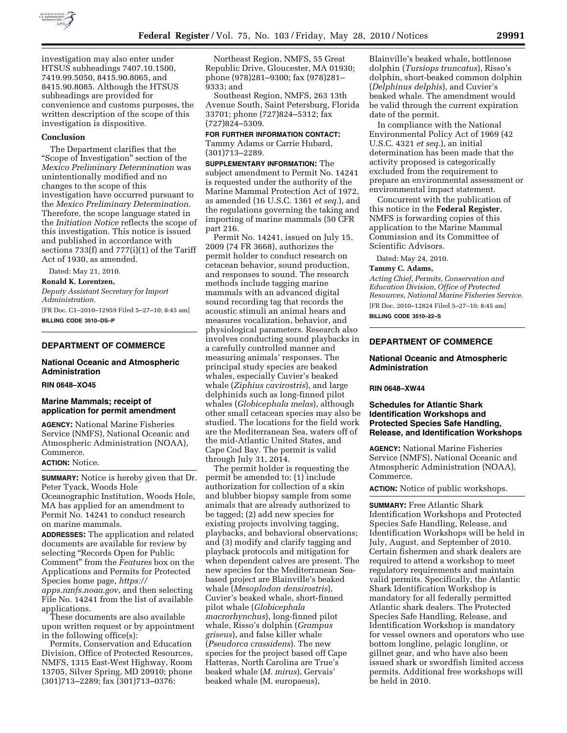

investigation may also enter under HTSUS subheadings 7407.10.1500, 7419.99.5050, 8415.90.8065, and 8415.90.8085. Although the HTSUS subheadings are provided for convenience and customs purposes, the written description of the scope of this investigation is dispositive.

### **Conclusion**

The Department clarifies that the ''Scope of Investigation'' section of the *Mexico Preliminary Determination* was unintentionally modified and no changes to the scope of this investigation have occurred pursuant to the *Mexico Preliminary Determination.*  Therefore, the scope language stated in the *Initiation Notice* reflects the scope of this investigation. This notice is issued and published in accordance with sections 733(f) and 777(i)(1) of the Tariff Act of 1930, as amended.

Dated: May 21, 2010.

#### **Ronald K. Lorentzen,**

*Deputy Assistant Secretary for Import Administration.* 

[FR Doc. C1–2010–12959 Filed 5–27–10; 8:45 am] **BILLING CODE 3510–DS–P** 

## **DEPARTMENT OF COMMERCE**

## **National Oceanic and Atmospheric Administration**

## **RIN 0648–XO45**

## **Marine Mammals; receipt of application for permit amendment**

**AGENCY:** National Marine Fisheries Service (NMFS), National Oceanic and Atmospheric Administration (NOAA), Commerce.

## **ACTION:** Notice.

**SUMMARY:** Notice is hereby given that Dr. Peter Tyack, Woods Hole Oceanographic Institution, Woods Hole, MA has applied for an amendment to Permit No. 14241 to conduct research on marine mammals.

**ADDRESSES:** The application and related documents are available for review by selecting "Records Open for Public Comment'' from the *Features* box on the Applications and Permits for Protected Species home page, *https:// apps.nmfs.noaa.gov*, and then selecting

File No. 14241 from the list of available applications.

These documents are also available upon written request or by appointment in the following office(s):

Permits, Conservation and Education Division, Office of Protected Resources, NMFS, 1315 East-West Highway, Room 13705, Silver Spring, MD 20910; phone (301)713–2289; fax (301)713–0376;

Northeast Region, NMFS, 55 Great Republic Drive, Gloucester, MA 01930; phone (978)281–9300; fax (978)281– 9333; and

Southeast Region, NMFS, 263 13th Avenue South, Saint Petersburg, Florida 33701; phone (727)824–5312; fax (727)824–5309.

#### **FOR FURTHER INFORMATION CONTACT:**  Tammy Adams or Carrie Hubard,

(301)713–2289.

**SUPPLEMENTARY INFORMATION:** The subject amendment to Permit No. 14241 is requested under the authority of the Marine Mammal Protection Act of 1972, as amended (16 U.S.C. 1361 *et seq.*), and the regulations governing the taking and importing of marine mammals (50 CFR part 216.

Permit No. 14241, issued on July 15, 2009 (74 FR 3668), authorizes the permit holder to conduct research on cetacean behavior, sound production, and responses to sound. The research methods include tagging marine mammals with an advanced digital sound recording tag that records the acoustic stimuli an animal hears and measures vocalization, behavior, and physiological parameters. Research also involves conducting sound playbacks in a carefully controlled manner and measuring animals' responses. The principal study species are beaked whales, especially Cuvier's beaked whale (*Ziphius cavirostris*), and large delphinids such as long-finned pilot whales (*Globicephala melas*), although other small cetacean species may also be studied. The locations for the field work are the Mediterranean Sea, waters off of the mid-Atlantic United States, and Cape Cod Bay. The permit is valid through July 31, 2014.

The permit holder is requesting the permit be amended to: (1) include authorization for collection of a skin and blubber biopsy sample from some animals that are already authorized to be tagged; (2) add new species for existing projects involving tagging, playbacks, and behavioral observations; and (3) modify and clarify tagging and playback protocols and mitigation for when dependent calves are present. The new species for the Mediterranean Seabased project are Blainville's beaked whale (*Mesoplodon densirostris*), Cuvier's beaked whale, short-finned pilot whale (*Globicephala macrorhynchus*), long-finned pilot whale, Risso's dolphin (*Grampus griseus*), and false killer whale (*Pseudorca crassidens*). The new species for the project based off Cape Hatteras, North Carolina are True's beaked whale (*M. mirus*), Gervais' beaked whale (M. europaeus),

Blainville's beaked whale, bottlenose dolphin (*Tursiops truncatus*), Risso's dolphin, short-beaked common dolphin (*Delphinus delphis*), and Cuvier's beaked whale. The amendment would be valid through the current expiration date of the permit.

In compliance with the National Environmental Policy Act of 1969 (42 U.S.C. 4321 *et seq.*), an initial determination has been made that the activity proposed is categorically excluded from the requirement to prepare an environmental assessment or environmental impact statement.

Concurrent with the publication of this notice in the **Federal Register**, NMFS is forwarding copies of this application to the Marine Mammal Commission and its Committee of Scientific Advisors.

Dated: May 24, 2010.

## **Tammy C. Adams,**

*Acting Chief, Permits, Conservation and Education Division, Office of Protected Resources, National Marine Fisheries Service.*  [FR Doc. 2010–12824 Filed 5–27–10; 8:45 am]

**BILLING CODE 3510–22–S** 

## **DEPARTMENT OF COMMERCE**

## **National Oceanic and Atmospheric Administration**

## **RIN 0648–XW44**

## **Schedules for Atlantic Shark Identification Workshops and Protected Species Safe Handling, Release, and Identification Workshops**

**AGENCY:** National Marine Fisheries Service (NMFS), National Oceanic and Atmospheric Administration (NOAA), Commerce.

**ACTION:** Notice of public workshops.

**SUMMARY:** Free Atlantic Shark Identification Workshops and Protected Species Safe Handling, Release, and Identification Workshops will be held in July, August, and September of 2010. Certain fishermen and shark dealers are required to attend a workshop to meet regulatory requirements and maintain valid permits. Specifically, the Atlantic Shark Identification Workshop is mandatory for all federally permitted Atlantic shark dealers. The Protected Species Safe Handling, Release, and Identification Workshop is mandatory for vessel owners and operators who use bottom longline, pelagic longline, or gillnet gear, and who have also been issued shark or swordfish limited access permits. Additional free workshops will be held in 2010.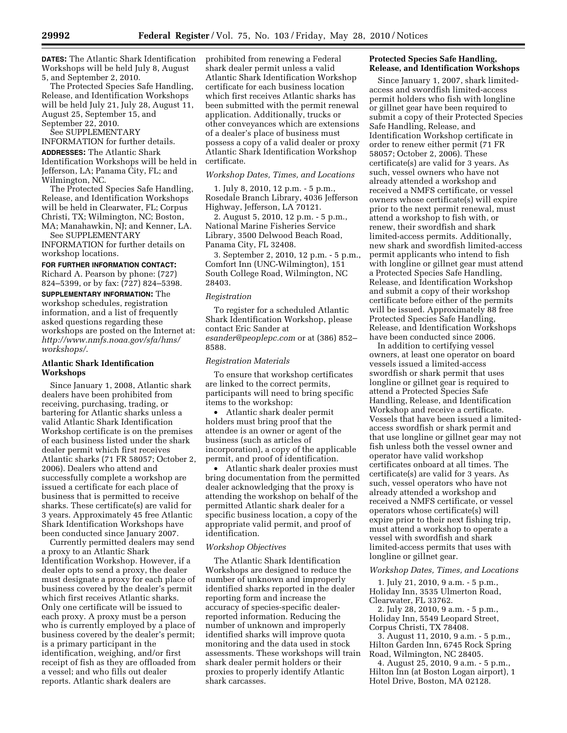**DATES:** The Atlantic Shark Identification Workshops will be held July 8, August 5, and September 2, 2010.

The Protected Species Safe Handling, Release, and Identification Workshops will be held July 21, July 28, August 11, August 25, September 15, and September 22, 2010.

See SUPPLEMENTARY INFORMATION for further details.

**ADDRESSES:** The Atlantic Shark Identification Workshops will be held in Jefferson, LA; Panama City, FL; and Wilmington, NC.

The Protected Species Safe Handling, Release, and Identification Workshops will be held in Clearwater, FL; Corpus Christi, TX; Wilmington, NC; Boston, MA; Manahawkin, NJ; and Kenner, LA.

See SUPPLEMENTARY INFORMATION for further details on workshop locations.

## **FOR FURTHER INFORMATION CONTACT:**

Richard A. Pearson by phone: (727) 824–5399, or by fax: (727) 824–5398.

**SUPPLEMENTARY INFORMATION:** The workshop schedules, registration information, and a list of frequently asked questions regarding these workshops are posted on the Internet at: *http://www.nmfs.noaa.gov/sfa/hms/ workshops/*.

## **Atlantic Shark Identification Workshops**

Since January 1, 2008, Atlantic shark dealers have been prohibited from receiving, purchasing, trading, or bartering for Atlantic sharks unless a valid Atlantic Shark Identification Workshop certificate is on the premises of each business listed under the shark dealer permit which first receives Atlantic sharks (71 FR 58057; October 2, 2006). Dealers who attend and successfully complete a workshop are issued a certificate for each place of business that is permitted to receive sharks. These certificate(s) are valid for 3 years. Approximately 45 free Atlantic Shark Identification Workshops have been conducted since January 2007.

Currently permitted dealers may send a proxy to an Atlantic Shark Identification Workshop. However, if a dealer opts to send a proxy, the dealer must designate a proxy for each place of business covered by the dealer's permit which first receives Atlantic sharks. Only one certificate will be issued to each proxy. A proxy must be a person who is currently employed by a place of business covered by the dealer's permit; is a primary participant in the identification, weighing, and/or first receipt of fish as they are offloaded from a vessel; and who fills out dealer reports. Atlantic shark dealers are

prohibited from renewing a Federal shark dealer permit unless a valid Atlantic Shark Identification Workshop certificate for each business location which first receives Atlantic sharks has been submitted with the permit renewal application. Additionally, trucks or other conveyances which are extensions of a dealer's place of business must possess a copy of a valid dealer or proxy Atlantic Shark Identification Workshop certificate.

#### *Workshop Dates, Times, and Locations*

1. July 8, 2010, 12 p.m. - 5 p.m., Rosedale Branch Library, 4036 Jefferson Highway, Jefferson, LA 70121.

2. August 5, 2010, 12 p.m. - 5 p.m., National Marine Fisheries Service Library, 3500 Delwood Beach Road, Panama City, FL 32408.

3. September 2, 2010, 12 p.m. - 5 p.m., Comfort Inn (UNC-Wilmington), 151 South College Road, Wilmington, NC 28403.

#### *Registration*

To register for a scheduled Atlantic Shark Identification Workshop, please contact Eric Sander at *esander@peoplepc.com* or at (386) 852– 8588.

## *Registration Materials*

To ensure that workshop certificates are linked to the correct permits, participants will need to bring specific items to the workshop:

• Atlantic shark dealer permit holders must bring proof that the attendee is an owner or agent of the business (such as articles of incorporation), a copy of the applicable permit, and proof of identification.

• Atlantic shark dealer proxies must bring documentation from the permitted dealer acknowledging that the proxy is attending the workshop on behalf of the permitted Atlantic shark dealer for a specific business location, a copy of the appropriate valid permit, and proof of identification.

## *Workshop Objectives*

The Atlantic Shark Identification Workshops are designed to reduce the number of unknown and improperly identified sharks reported in the dealer reporting form and increase the accuracy of species-specific dealerreported information. Reducing the number of unknown and improperly identified sharks will improve quota monitoring and the data used in stock assessments. These workshops will train shark dealer permit holders or their proxies to properly identify Atlantic shark carcasses.

## **Protected Species Safe Handling, Release, and Identification Workshops**

Since January 1, 2007, shark limitedaccess and swordfish limited-access permit holders who fish with longline or gillnet gear have been required to submit a copy of their Protected Species Safe Handling, Release, and Identification Workshop certificate in order to renew either permit (71 FR 58057; October 2, 2006). These certificate(s) are valid for 3 years. As such, vessel owners who have not already attended a workshop and received a NMFS certificate, or vessel owners whose certificate(s) will expire prior to the next permit renewal, must attend a workshop to fish with, or renew, their swordfish and shark limited-access permits. Additionally, new shark and swordfish limited-access permit applicants who intend to fish with longline or gillnet gear must attend a Protected Species Safe Handling, Release, and Identification Workshop and submit a copy of their workshop certificate before either of the permits will be issued. Approximately 88 free Protected Species Safe Handling, Release, and Identification Workshops have been conducted since 2006.

In addition to certifying vessel owners, at least one operator on board vessels issued a limited-access swordfish or shark permit that uses longline or gillnet gear is required to attend a Protected Species Safe Handling, Release, and Identification Workshop and receive a certificate. Vessels that have been issued a limitedaccess swordfish or shark permit and that use longline or gillnet gear may not fish unless both the vessel owner and operator have valid workshop certificates onboard at all times. The certificate(s) are valid for 3 years. As such, vessel operators who have not already attended a workshop and received a NMFS certificate, or vessel operators whose certificate(s) will expire prior to their next fishing trip, must attend a workshop to operate a vessel with swordfish and shark limited-access permits that uses with longline or gillnet gear.

## *Workshop Dates, Times, and Locations*

1. July 21, 2010, 9 a.m. - 5 p.m., Holiday Inn, 3535 Ulmerton Road, Clearwater, FL 33762.

2. July 28, 2010, 9 a.m. - 5 p.m., Holiday Inn, 5549 Leopard Street, Corpus Christi, TX 78408.

3. August 11, 2010, 9 a.m. - 5 p.m., Hilton Garden Inn, 6745 Rock Spring Road, Wilmington, NC 28405.

4. August 25, 2010, 9 a.m. - 5 p.m., Hilton Inn (at Boston Logan airport), 1 Hotel Drive, Boston, MA 02128.